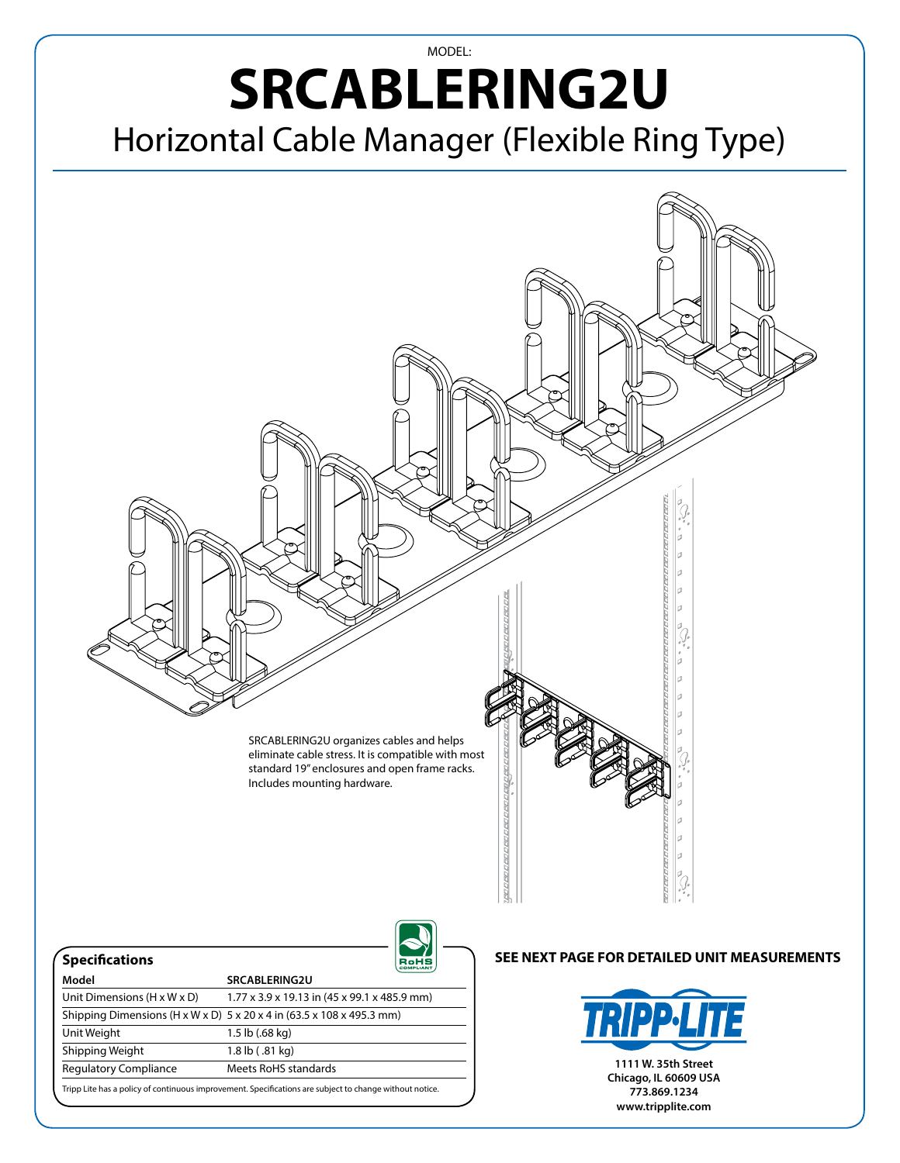## MODEL: **SRCABLERING2U** Horizontal Cable Manager (Flexible Ring Type)



Regulatory Compliance Meets RoHS standards

Tripp Lite has a policy of continuous improvement. Specifications are subject to change without notice.

**1111 W. 35th Street Chicago, IL 60609 USA 773.869.1234 www.tripplite.com**